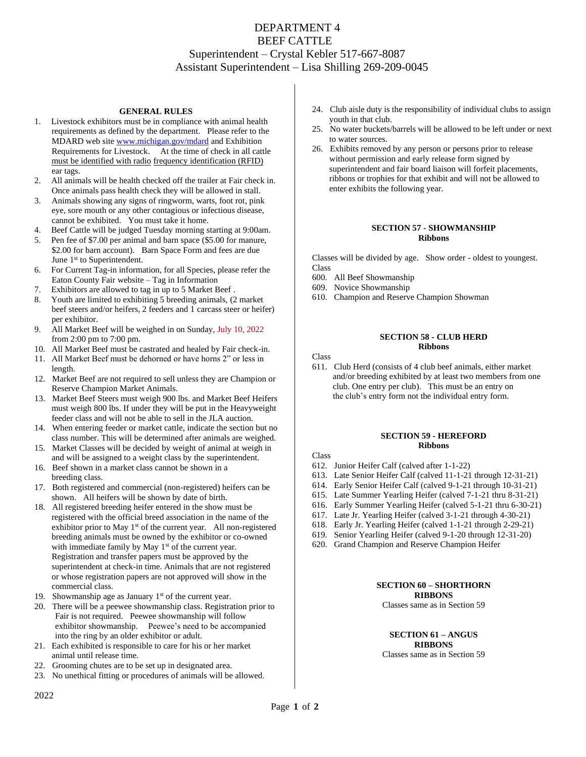# DEPARTMENT 4 BEEF CATTLE Superintendent – Crystal Kebler 517-667-8087 Assistant Superintendent – Lisa Shilling 269-209-0045

## **GENERAL RULES**

- 1. Livestock exhibitors must be in compliance with animal health requirements as defined by the department. Please refer to the MDARD web site [www.michigan.gov/mdard](http://www.michigan.gov/mdard) and Exhibition Requirements for Livestock. At the time of check in all cattle must be identified with radio frequency identification (RFID) ear tags.
- 2. All animals will be health checked off the trailer at Fair check in. Once animals pass health check they will be allowed in stall.
- 3. Animals showing any signs of ringworm, warts, foot rot, pink eye, sore mouth or any other contagious or infectious disease, cannot be exhibited. You must take it home.
- 4. Beef Cattle will be judged Tuesday morning starting at 9:00am.
- 5. Pen fee of \$7.00 per animal and barn space (\$5.00 for manure, \$2.00 for barn account). Barn Space Form and fees are due June 1<sup>st</sup> to Superintendent.
- 6. For Current Tag-in information, for all Species, please refer the Eaton County Fair website – Tag in Information
- 7. Exhibitors are allowed to tag in up to 5 Market Beef .
- 8. Youth are limited to exhibiting 5 breeding animals, (2 market beef steers and/or heifers, 2 feeders and 1 carcass steer or heifer) per exhibitor.
- 9. All Market Beef will be weighed in on Sunday, July 10, 2022 from 2:00 pm to 7:00 pm.
- 10. All Market Beef must be castrated and healed by Fair check-in.
- 11. All Market Beef must be dehorned or have horns 2" or less in length.
- 12. Market Beef are not required to sell unless they are Champion or Reserve Champion Market Animals.
- 13. Market Beef Steers must weigh 900 lbs. and Market Beef Heifers must weigh 800 lbs. If under they will be put in the Heavyweight feeder class and will not be able to sell in the JLA auction.
- 14. When entering feeder or market cattle, indicate the section but no class number. This will be determined after animals are weighed.
- 15. Market Classes will be decided by weight of animal at weigh in and will be assigned to a weight class by the superintendent.
- 16. Beef shown in a market class cannot be shown in a breeding class.
- 17. Both registered and commercial (non-registered) heifers can be shown. All heifers will be shown by date of birth.
- 18. All registered breeding heifer entered in the show must be registered with the official breed association in the name of the exhibitor prior to May  $1<sup>st</sup>$  of the current year. All non-registered breeding animals must be owned by the exhibitor or co-owned with immediate family by May 1<sup>st</sup> of the current year. Registration and transfer papers must be approved by the superintendent at check-in time. Animals that are not registered or whose registration papers are not approved will show in the commercial class.
- 19. Showmanship age as January  $1<sup>st</sup>$  of the current year.
- 20. There will be a peewee showmanship class. Registration prior to Fair is not required. Peewee showmanship will follow exhibitor showmanship. Peewee's need to be accompanied into the ring by an older exhibitor or adult.
- 21. Each exhibited is responsible to care for his or her market animal until release time.
- 22. Grooming chutes are to be set up in designated area.
- 23. No unethical fitting or procedures of animals will be allowed.
- 24. Club aisle duty is the responsibility of individual clubs to assign youth in that club.
- 25. No water buckets/barrels will be allowed to be left under or next to water sources.
- 26. Exhibits removed by any person or persons prior to release without permission and early release form signed by superintendent and fair board liaison will forfeit placements, ribbons or trophies for that exhibit and will not be allowed to enter exhibits the following year.

## **SECTION 57 - SHOWMANSHIP Ribbons**

Classes will be divided by age. Show order - oldest to youngest. Class

- 600. All Beef Showmanship
- 609. Novice Showmanship
- 610. Champion and Reserve Champion Showman

## **SECTION 58 - CLUB HERD Ribbons**

Class

611. Club Herd (consists of 4 club beef animals, either market and/or breeding exhibited by at least two members from one club. One entry per club). This must be an entry on the club's entry form not the individual entry form.

#### **SECTION 59 - HEREFORD Ribbons**

- Class
- 612. Junior Heifer Calf (calved after 1-1-22)
- 613. Late Senior Heifer Calf (calved 11-1-21 through 12-31-21)
- 614. Early Senior Heifer Calf (calved 9-1-21 through 10-31-21)
- 615. Late Summer Yearling Heifer (calved 7-1-21 thru 8-31-21)
- 616. Early Summer Yearling Heifer (calved 5-1-21 thru 6-30-21)
- 617. Late Jr. Yearling Heifer (calved 3-1-21 through 4-30-21)
- 618. Early Jr. Yearling Heifer (calved 1-1-21 through 2-29-21)
- 619. Senior Yearling Heifer (calved 9-1-20 through 12-31-20)
- 620. Grand Champion and Reserve Champion Heifer

### **SECTION 60 – SHORTHORN RIBBONS**

Classes same as in Section 59

**SECTION 61 – ANGUS RIBBONS** Classes same as in Section 59